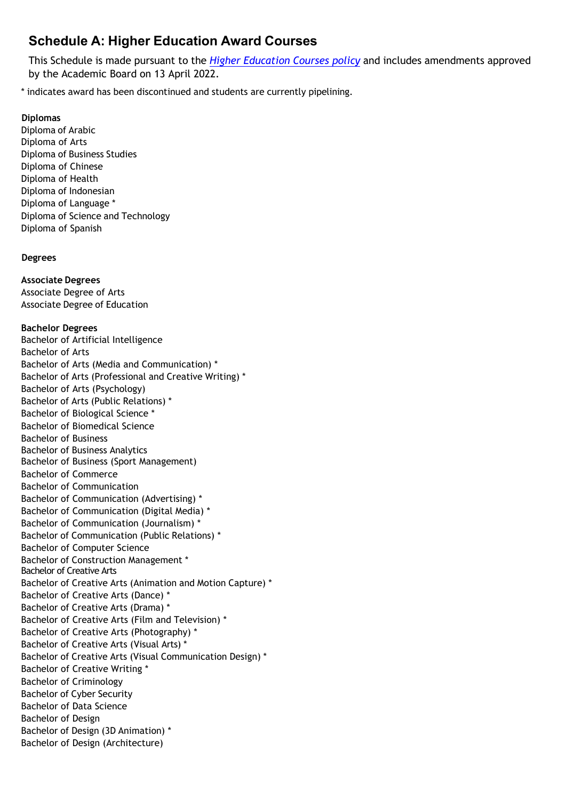# **Schedule A: Higher Education Award Courses**

This Schedule is made pursuant to the *Higher [Education](https://policy.deakin.edu.au/document/view-current.php?id=131) Courses policy* and includes amendments approved by the Academic Board on 13 April 2022.

\* indicates award has been discontinued and students are currently pipelining.

## **Diplomas**

Diploma of Arabic Diploma of Arts Diploma of Business Studies Diploma of Chinese Diploma of Health Diploma of Indonesian Diploma of Language \* Diploma of Science and Technology Diploma of Spanish

## **Degrees**

**Associate Degrees** Associate Degree of Arts Associate Degree of Education

## **Bachelor Degrees**

Bachelor of Artificial Intelligence Bachelor of Arts Bachelor of Arts (Media and Communication) \* Bachelor of Arts (Professional and Creative Writing) \* Bachelor of Arts (Psychology) Bachelor of Arts (Public Relations) \* Bachelor of Biological Science \* Bachelor of Biomedical Science Bachelor of Business Bachelor of Business Analytics Bachelor of Business (Sport Management) Bachelor of Commerce Bachelor of Communication Bachelor of Communication (Advertising) \* Bachelor of Communication (Digital Media) \* Bachelor of Communication (Journalism) \* Bachelor of Communication (Public Relations) \* Bachelor of Computer Science Bachelor of Construction Management \* Bachelor of Creative Arts Bachelor of Creative Arts (Animation and Motion Capture) \* Bachelor of Creative Arts (Dance) \* Bachelor of Creative Arts (Drama) \* Bachelor of Creative Arts (Film and Television) \* Bachelor of Creative Arts (Photography) \* Bachelor of Creative Arts (Visual Arts) \* Bachelor of Creative Arts (Visual Communication Design) \* Bachelor of Creative Writing \* Bachelor of Criminology Bachelor of Cyber Security Bachelor of Data Science Bachelor of Design Bachelor of Design (3D Animation) \* Bachelor of Design (Architecture)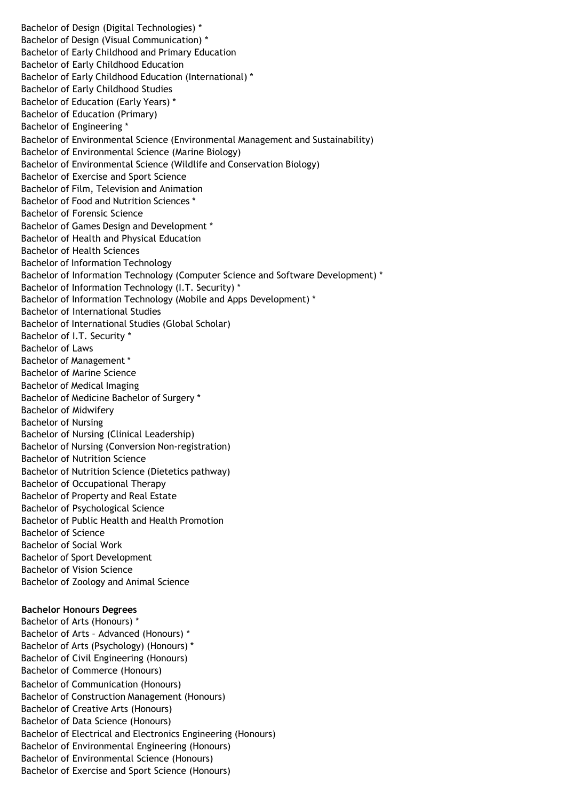Bachelor of Design (Digital Technologies) \* Bachelor of Design (Visual Communication) \* Bachelor of Early Childhood and Primary Education Bachelor of Early Childhood Education Bachelor of Early Childhood Education (International) \* Bachelor of Early Childhood Studies Bachelor of Education (Early Years) \* Bachelor of Education (Primary) Bachelor of Engineering \* Bachelor of Environmental Science (Environmental Management and Sustainability) Bachelor of Environmental Science (Marine Biology) Bachelor of Environmental Science (Wildlife and Conservation Biology) Bachelor of Exercise and Sport Science Bachelor of Film, Television and Animation Bachelor of Food and Nutrition Sciences \* Bachelor of Forensic Science Bachelor of Games Design and Development \* Bachelor of Health and Physical Education Bachelor of Health Sciences Bachelor of Information Technology Bachelor of Information Technology (Computer Science and Software Development) \* Bachelor of Information Technology (I.T. Security) \* Bachelor of Information Technology (Mobile and Apps Development) \* Bachelor of International Studies Bachelor of International Studies (Global Scholar) Bachelor of I.T. Security \* Bachelor of Laws Bachelor of Management \* Bachelor of Marine Science Bachelor of Medical Imaging Bachelor of Medicine Bachelor of Surgery \* Bachelor of Midwifery Bachelor of Nursing Bachelor of Nursing (Clinical Leadership) Bachelor of Nursing (Conversion Non-registration) Bachelor of Nutrition Science Bachelor of Nutrition Science (Dietetics pathway) Bachelor of Occupational Therapy Bachelor of Property and Real Estate Bachelor of Psychological Science Bachelor of Public Health and Health Promotion Bachelor of Science Bachelor of Social Work Bachelor of Sport Development Bachelor of Vision Science Bachelor of Zoology and Animal Science **Bachelor Honours Degrees** Bachelor of Arts (Honours) \* Bachelor of Arts – Advanced (Honours) \* Bachelor of Arts (Psychology) (Honours) \* Bachelor of Civil Engineering (Honours) Bachelor of Commerce (Honours) Bachelor of Communication (Honours) Bachelor of Construction Management (Honours) Bachelor of Creative Arts (Honours) Bachelor of Data Science (Honours)

Bachelor of Electrical and Electronics Engineering (Honours)

Bachelor of Environmental Engineering (Honours) Bachelor of Environmental Science (Honours) Bachelor of Exercise and Sport Science (Honours)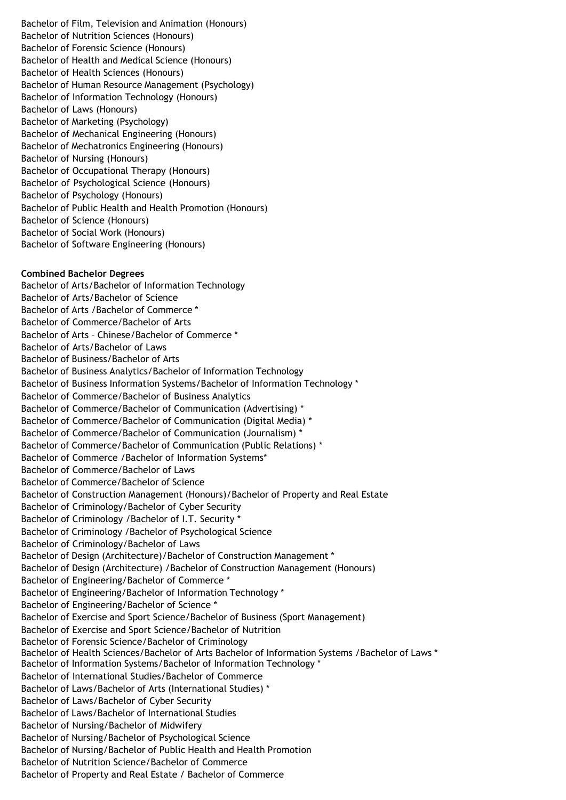Bachelor of Film, Television and Animation (Honours) Bachelor of Nutrition Sciences (Honours) Bachelor of Forensic Science (Honours) Bachelor of Health and Medical Science (Honours) Bachelor of Health Sciences (Honours) Bachelor of Human Resource Management (Psychology) Bachelor of Information Technology (Honours) Bachelor of Laws (Honours) Bachelor of Marketing (Psychology) Bachelor of Mechanical Engineering (Honours) Bachelor of Mechatronics Engineering (Honours) Bachelor of Nursing (Honours) Bachelor of Occupational Therapy (Honours) Bachelor of Psychological Science (Honours) Bachelor of Psychology (Honours) Bachelor of Public Health and Health Promotion (Honours) Bachelor of Science (Honours) Bachelor of Social Work (Honours) Bachelor of Software Engineering (Honours)

### **Combined Bachelor Degrees**

Bachelor of Arts/Bachelor of Information Technology Bachelor of Arts/Bachelor of Science Bachelor of Arts /Bachelor of Commerce \* Bachelor of Commerce/Bachelor of Arts Bachelor of Arts – Chinese/Bachelor of Commerce \* Bachelor of Arts/Bachelor of Laws Bachelor of Business/Bachelor of Arts Bachelor of Business Analytics/Bachelor of Information Technology Bachelor of Business Information Systems/Bachelor of Information Technology \* Bachelor of Commerce/Bachelor of Business Analytics Bachelor of Commerce/Bachelor of Communication (Advertising) \* Bachelor of Commerce/Bachelor of Communication (Digital Media) \* Bachelor of Commerce/Bachelor of Communication (Journalism) \* Bachelor of Commerce/Bachelor of Communication (Public Relations) \* Bachelor of Commerce /Bachelor of Information Systems\* Bachelor of Commerce/Bachelor of Laws Bachelor of Commerce/Bachelor of Science Bachelor of Construction Management (Honours)/Bachelor of Property and Real Estate Bachelor of Criminology/Bachelor of Cyber Security Bachelor of Criminology /Bachelor of I.T. Security \* Bachelor of Criminology /Bachelor of Psychological Science Bachelor of Criminology/Bachelor of Laws Bachelor of Design (Architecture)/Bachelor of Construction Management \* Bachelor of Design (Architecture) /Bachelor of Construction Management (Honours) Bachelor of Engineering/Bachelor of Commerce \* Bachelor of Engineering/Bachelor of Information Technology \* Bachelor of Engineering/Bachelor of Science \* Bachelor of Exercise and Sport Science/Bachelor of Business (Sport Management) Bachelor of Exercise and Sport Science/Bachelor of Nutrition Bachelor of Forensic Science/Bachelor of Criminology Bachelor of Health Sciences/Bachelor of Arts Bachelor of Information Systems /Bachelor of Laws \* Bachelor of Information Systems/Bachelor of Information Technology \* Bachelor of International Studies/Bachelor of Commerce Bachelor of Laws/Bachelor of Arts (International Studies) \* Bachelor of Laws/Bachelor of Cyber Security Bachelor of Laws/Bachelor of International Studies Bachelor of Nursing/Bachelor of Midwifery Bachelor of Nursing/Bachelor of Psychological Science Bachelor of Nursing/Bachelor of Public Health and Health Promotion Bachelor of Nutrition Science/Bachelor of Commerce Bachelor of Property and Real Estate / Bachelor of Commerce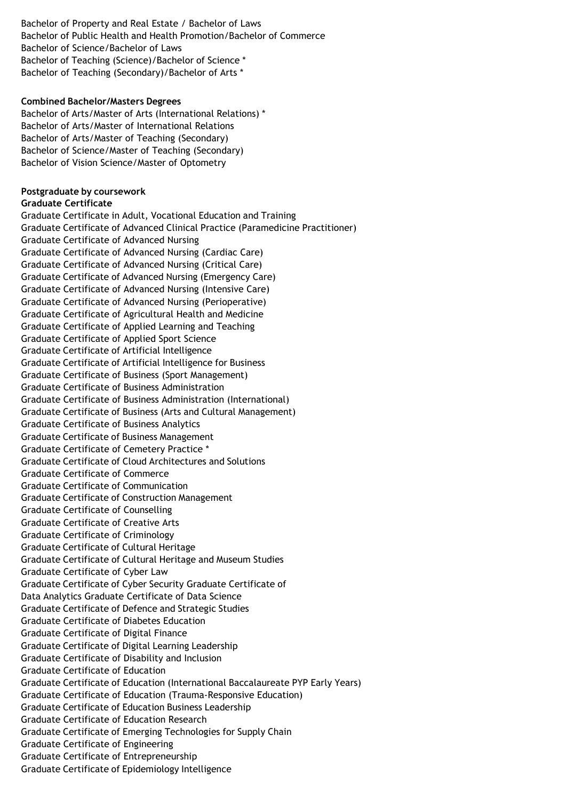Bachelor of Property and Real Estate / Bachelor of Laws Bachelor of Public Health and Health Promotion/Bachelor of Commerce Bachelor of Science/Bachelor of Laws Bachelor of Teaching (Science)/Bachelor of Science \* Bachelor of Teaching (Secondary)/Bachelor of Arts \*

#### **Combined Bachelor/Masters Degrees**

Bachelor of Arts/Master of Arts (International Relations) \* Bachelor of Arts/Master of International Relations Bachelor of Arts/Master of Teaching (Secondary) Bachelor of Science/Master of Teaching (Secondary) Bachelor of Vision Science/Master of Optometry

## **Postgraduate by coursework**

#### **Graduate Certificate**

Graduate Certificate in Adult, Vocational Education and Training Graduate Certificate of Advanced Clinical Practice (Paramedicine Practitioner) Graduate Certificate of Advanced Nursing Graduate Certificate of Advanced Nursing (Cardiac Care) Graduate Certificate of Advanced Nursing (Critical Care) Graduate Certificate of Advanced Nursing (Emergency Care) Graduate Certificate of Advanced Nursing (Intensive Care) Graduate Certificate of Advanced Nursing (Perioperative) Graduate Certificate of Agricultural Health and Medicine Graduate Certificate of Applied Learning and Teaching Graduate Certificate of Applied Sport Science Graduate Certificate of Artificial Intelligence Graduate Certificate of Artificial Intelligence for Business Graduate Certificate of Business (Sport Management) Graduate Certificate of Business Administration Graduate Certificate of Business Administration (International) Graduate Certificate of Business (Arts and Cultural Management) Graduate Certificate of Business Analytics Graduate Certificate of Business Management Graduate Certificate of Cemetery Practice \* Graduate Certificate of Cloud Architectures and Solutions Graduate Certificate of Commerce Graduate Certificate of Communication Graduate Certificate of Construction Management Graduate Certificate of Counselling Graduate Certificate of Creative Arts Graduate Certificate of Criminology Graduate Certificate of Cultural Heritage Graduate Certificate of Cultural Heritage and Museum Studies Graduate Certificate of Cyber Law Graduate Certificate of Cyber Security Graduate Certificate of Data Analytics Graduate Certificate of Data Science Graduate Certificate of Defence and Strategic Studies Graduate Certificate of Diabetes Education Graduate Certificate of Digital Finance Graduate Certificate of Digital Learning Leadership Graduate Certificate of Disability and Inclusion Graduate Certificate of Education Graduate Certificate of Education (International Baccalaureate PYP Early Years) Graduate Certificate of Education (Trauma-Responsive Education) Graduate Certificate of Education Business Leadership Graduate Certificate of Education Research Graduate Certificate of Emerging Technologies for Supply Chain Graduate Certificate of Engineering Graduate Certificate of Entrepreneurship Graduate Certificate of Epidemiology Intelligence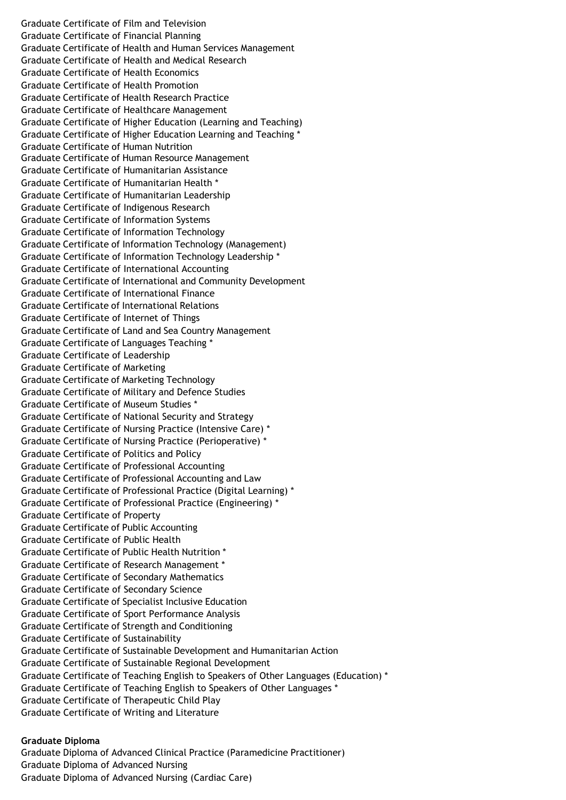Graduate Certificate of Film and Television Graduate Certificate of Financial Planning Graduate Certificate of Health and Human Services Management Graduate Certificate of Health and Medical Research Graduate Certificate of Health Economics Graduate Certificate of Health Promotion Graduate Certificate of Health Research Practice Graduate Certificate of Healthcare Management Graduate Certificate of Higher Education (Learning and Teaching) Graduate Certificate of Higher Education Learning and Teaching \* Graduate Certificate of Human Nutrition Graduate Certificate of Human Resource Management Graduate Certificate of Humanitarian Assistance Graduate Certificate of Humanitarian Health \* Graduate Certificate of Humanitarian Leadership Graduate Certificate of Indigenous Research Graduate Certificate of Information Systems Graduate Certificate of Information Technology Graduate Certificate of Information Technology (Management) Graduate Certificate of Information Technology Leadership \* Graduate Certificate of International Accounting Graduate Certificate of International and Community Development Graduate Certificate of International Finance Graduate Certificate of International Relations Graduate Certificate of Internet of Things Graduate Certificate of Land and Sea Country Management Graduate Certificate of Languages Teaching \* Graduate Certificate of Leadership Graduate Certificate of Marketing Graduate Certificate of Marketing Technology Graduate Certificate of Military and Defence Studies Graduate Certificate of Museum Studies \* Graduate Certificate of National Security and Strategy Graduate Certificate of Nursing Practice (Intensive Care) \* Graduate Certificate of Nursing Practice (Perioperative) \* Graduate Certificate of Politics and Policy Graduate Certificate of Professional Accounting Graduate Certificate of Professional Accounting and Law Graduate Certificate of Professional Practice (Digital Learning) \* Graduate Certificate of Professional Practice (Engineering) \* Graduate Certificate of Property Graduate Certificate of Public Accounting Graduate Certificate of Public Health Graduate Certificate of Public Health Nutrition \* Graduate Certificate of Research Management \* Graduate Certificate of Secondary Mathematics Graduate Certificate of Secondary Science Graduate Certificate of Specialist Inclusive Education Graduate Certificate of Sport Performance Analysis Graduate Certificate of Strength and Conditioning Graduate Certificate of Sustainability Graduate Certificate of Sustainable Development and Humanitarian Action Graduate Certificate of Sustainable Regional Development Graduate Certificate of Teaching English to Speakers of Other Languages (Education) \* Graduate Certificate of Teaching English to Speakers of Other Languages \* Graduate Certificate of Therapeutic Child Play Graduate Certificate of Writing and Literature

#### **Graduate Diploma**

Graduate Diploma of Advanced Clinical Practice (Paramedicine Practitioner) Graduate Diploma of Advanced Nursing Graduate Diploma of Advanced Nursing (Cardiac Care)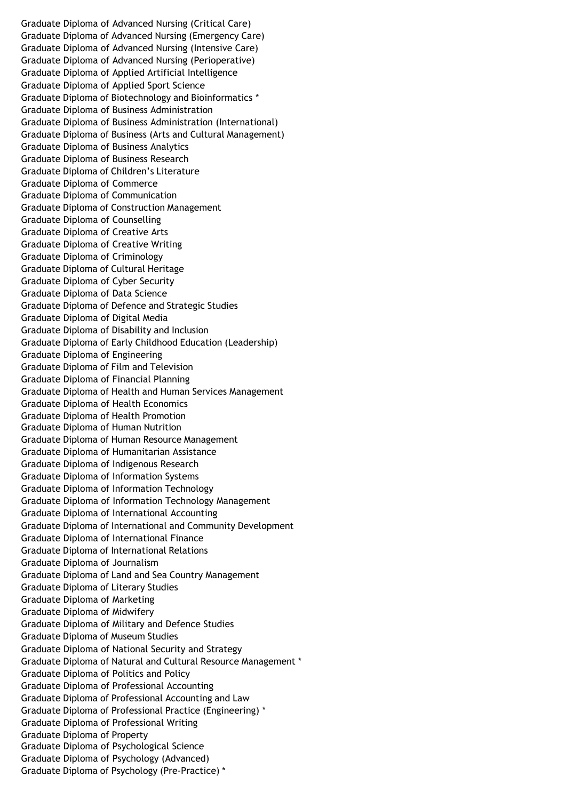Graduate Diploma of Advanced Nursing (Critical Care) Graduate Diploma of Advanced Nursing (Emergency Care) Graduate Diploma of Advanced Nursing (Intensive Care) Graduate Diploma of Advanced Nursing (Perioperative) Graduate Diploma of Applied Artificial Intelligence Graduate Diploma of Applied Sport Science Graduate Diploma of Biotechnology and Bioinformatics \* Graduate Diploma of Business Administration Graduate Diploma of Business Administration (International) Graduate Diploma of Business (Arts and Cultural Management) Graduate Diploma of Business Analytics Graduate Diploma of Business Research Graduate Diploma of Children's Literature Graduate Diploma of Commerce Graduate Diploma of Communication Graduate Diploma of Construction Management Graduate Diploma of Counselling Graduate Diploma of Creative Arts Graduate Diploma of Creative Writing Graduate Diploma of Criminology Graduate Diploma of Cultural Heritage Graduate Diploma of Cyber Security Graduate Diploma of Data Science Graduate Diploma of Defence and Strategic Studies Graduate Diploma of Digital Media Graduate Diploma of Disability and Inclusion Graduate Diploma of Early Childhood Education (Leadership) Graduate Diploma of Engineering Graduate Diploma of Film and Television Graduate Diploma of Financial Planning Graduate Diploma of Health and Human Services Management Graduate Diploma of Health Economics Graduate Diploma of Health Promotion Graduate Diploma of Human Nutrition Graduate Diploma of Human Resource Management Graduate Diploma of Humanitarian Assistance Graduate Diploma of Indigenous Research Graduate Diploma of Information Systems Graduate Diploma of Information Technology Graduate Diploma of Information Technology Management Graduate Diploma of International Accounting Graduate Diploma of International and Community Development Graduate Diploma of International Finance Graduate Diploma of International Relations Graduate Diploma of Journalism Graduate Diploma of Land and Sea Country Management Graduate Diploma of Literary Studies Graduate Diploma of Marketing Graduate Diploma of Midwifery Graduate Diploma of Military and Defence Studies Graduate Diploma of Museum Studies Graduate Diploma of National Security and Strategy Graduate Diploma of Natural and Cultural Resource Management \* Graduate Diploma of Politics and Policy Graduate Diploma of Professional Accounting Graduate Diploma of Professional Accounting and Law Graduate Diploma of Professional Practice (Engineering) \* Graduate Diploma of Professional Writing Graduate Diploma of Property Graduate Diploma of Psychological Science Graduate Diploma of Psychology (Advanced) Graduate Diploma of Psychology (Pre-Practice) \*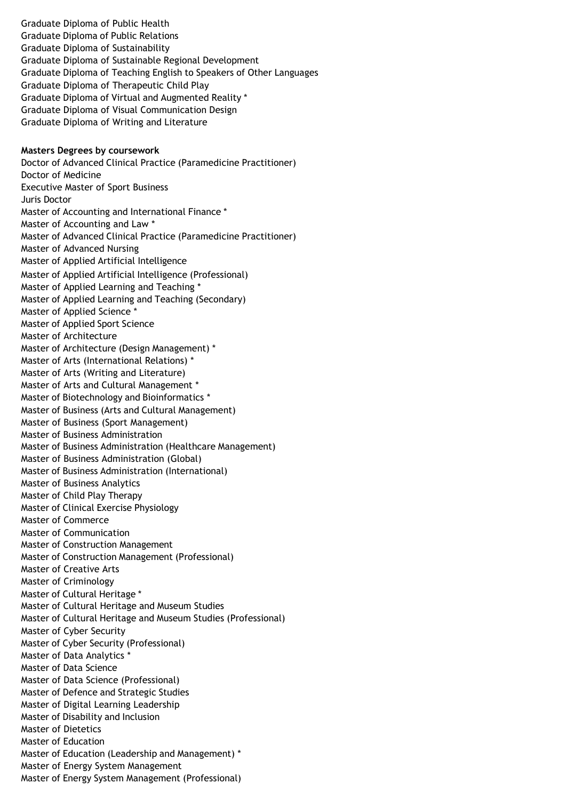Graduate Diploma of Public Health Graduate Diploma of Public Relations Graduate Diploma of Sustainability Graduate Diploma of Sustainable Regional Development Graduate Diploma of Teaching English to Speakers of Other Languages Graduate Diploma of Therapeutic Child Play Graduate Diploma of Virtual and Augmented Reality \* Graduate Diploma of Visual Communication Design Graduate Diploma of Writing and Literature

#### **Masters Degrees by coursework**

Doctor of Advanced Clinical Practice (Paramedicine Practitioner) Doctor of Medicine Executive Master of Sport Business Juris Doctor Master of Accounting and International Finance \* Master of Accounting and Law \* Master of Advanced Clinical Practice (Paramedicine Practitioner) Master of Advanced Nursing Master of Applied Artificial Intelligence Master of Applied Artificial Intelligence (Professional) Master of Applied Learning and Teaching \* Master of Applied Learning and Teaching (Secondary) Master of Applied Science \* Master of Applied Sport Science Master of Architecture Master of Architecture (Design Management) \* Master of Arts (International Relations) \* Master of Arts (Writing and Literature) Master of Arts and Cultural Management \* Master of Biotechnology and Bioinformatics \* Master of Business (Arts and Cultural Management) Master of Business (Sport Management) Master of Business Administration Master of Business Administration (Healthcare Management) Master of Business Administration (Global) Master of Business Administration (International) Master of Business Analytics Master of Child Play Therapy Master of Clinical Exercise Physiology Master of Commerce Master of Communication Master of Construction Management Master of Construction Management (Professional) Master of Creative Arts Master of Criminology Master of Cultural Heritage \* Master of Cultural Heritage and Museum Studies Master of Cultural Heritage and Museum Studies (Professional) Master of Cyber Security Master of Cyber Security (Professional) Master of Data Analytics \* Master of Data Science Master of Data Science (Professional) Master of Defence and Strategic Studies Master of Digital Learning Leadership Master of Disability and Inclusion Master of Dietetics Master of Education Master of Education (Leadership and Management) \* Master of Energy System Management Master of Energy System Management (Professional)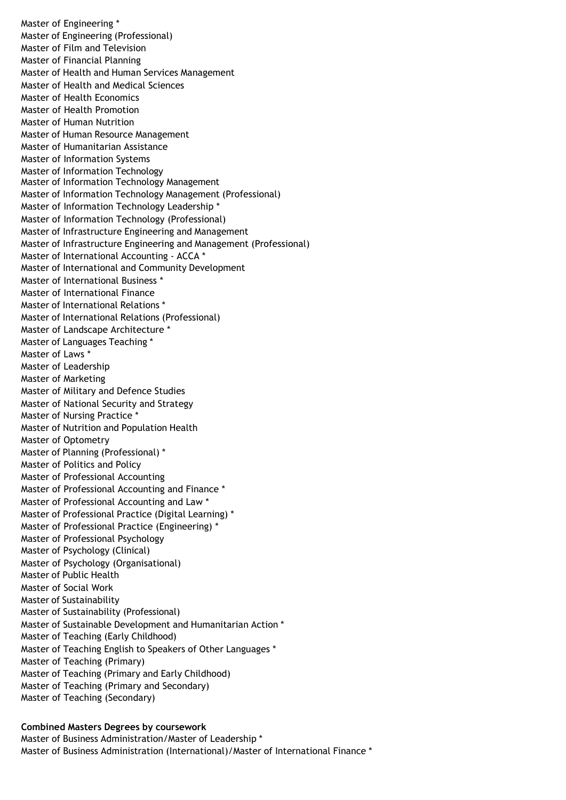Master of Engineering \* Master of Engineering (Professional) Master of Film and Television Master of Financial Planning Master of Health and Human Services Management Master of Health and Medical Sciences Master of Health Economics Master of Health Promotion Master of Human Nutrition Master of Human Resource Management Master of Humanitarian Assistance Master of Information Systems Master of Information Technology Master of Information Technology Management Master of Information Technology Management (Professional) Master of Information Technology Leadership \* Master of Information Technology (Professional) Master of Infrastructure Engineering and Management Master of Infrastructure Engineering and Management (Professional) Master of International Accounting - ACCA \* Master of International and Community Development Master of International Business \* Master of International Finance Master of International Relations \* Master of International Relations (Professional) Master of Landscape Architecture \* Master of Languages Teaching \* Master of Laws \* Master of Leadership Master of Marketing Master of Military and Defence Studies Master of National Security and Strategy Master of Nursing Practice \* Master of Nutrition and Population Health Master of Optometry Master of Planning (Professional) \* Master of Politics and Policy Master of Professional Accounting Master of Professional Accounting and Finance \* Master of Professional Accounting and Law \* Master of Professional Practice (Digital Learning) \* Master of Professional Practice (Engineering) \* Master of Professional Psychology Master of Psychology (Clinical) Master of Psychology (Organisational) Master of Public Health Master of Social Work Master of Sustainability Master of Sustainability (Professional) Master of Sustainable Development and Humanitarian Action \* Master of Teaching (Early Childhood) Master of Teaching English to Speakers of Other Languages \* Master of Teaching (Primary) Master of Teaching (Primary and Early Childhood) Master of Teaching (Primary and Secondary) Master of Teaching (Secondary)

#### **Combined Masters Degrees by coursework**

Master of Business Administration/Master of Leadership \* Master of Business Administration (International)/Master of International Finance \*